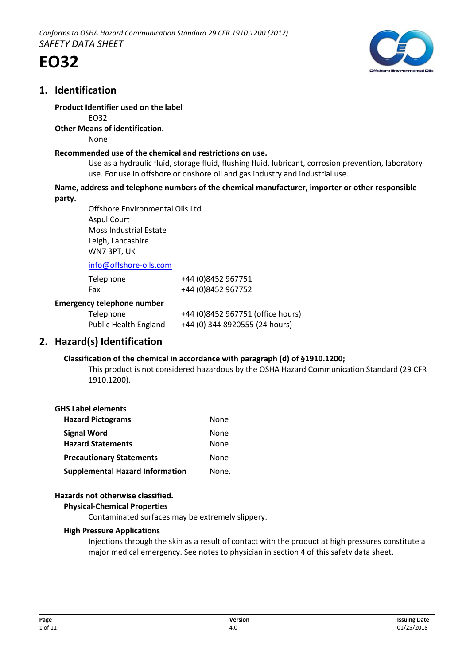

# **1. Identification**



# **Product Identifier used on the label**

EO32

# **Other Means of identification.**

None

### **Recommended use of the chemical and restrictions on use.**

Use as a hydraulic fluid, storage fluid, flushing fluid, lubricant, corrosion prevention, laboratory use. For use in offshore or onshore oil and gas industry and industrial use.

#### **Name, address and telephone numbers of the chemical manufacturer, importer or other responsible party.**

Offshore Environmental Oils Ltd Aspul Court Moss Industrial Estate Leigh, Lancashire WN7 3PT, UK

info@offshore-oils.com

| Telephone                         | +44 (0)8452 967751                |
|-----------------------------------|-----------------------------------|
| Fax                               | +44 (0)8452 967752                |
| <b>Emergency telephone number</b> |                                   |
| Telephone                         | +44 (0)8452 967751 (office hours) |
| <b>Public Health England</b>      | +44 (0) 344 8920555 (24 hours)    |

# **2. Hazard(s) Identification**

# **Classification of the chemical in accordance with paragraph (d) of §1910.1200;**

This product is not considered hazardous by the OSHA Hazard Communication Standard (29 CFR 1910.1200).

# **GHS Label elements**

| <b>Hazard Pictograms</b>               | None  |
|----------------------------------------|-------|
| <b>Signal Word</b>                     | None  |
| <b>Hazard Statements</b>               | None  |
| <b>Precautionary Statements</b>        | None  |
| <b>Supplemental Hazard Information</b> | None. |

# **Hazards not otherwise classified.**

#### **Physical-Chemical Properties**

Contaminated surfaces may be extremely slippery.

# **High Pressure Applications**

Injections through the skin as a result of contact with the product at high pressures constitute a major medical emergency. See notes to physician in section 4 of this safety data sheet.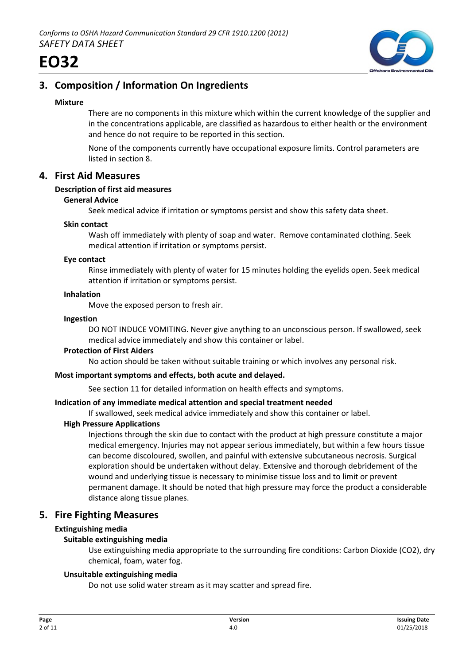

# **3. Composition / Information On Ingredients**

# **Mixture**

There are no components in this mixture which within the current knowledge of the supplier and in the concentrations applicable, are classified as hazardous to either health or the environment and hence do not require to be reported in this section.

None of the components currently have occupational exposure limits. Control parameters are listed in section 8.

# **4. First Aid Measures**

# **Description of first aid measures**

# **General Advice**

Seek medical advice if irritation or symptoms persist and show this safety data sheet.

#### **Skin contact**

Wash off immediately with plenty of soap and water. Remove contaminated clothing. Seek medical attention if irritation or symptoms persist.

#### **Eye contact**

Rinse immediately with plenty of water for 15 minutes holding the eyelids open. Seek medical attention if irritation or symptoms persist.

#### **Inhalation**

Move the exposed person to fresh air.

#### **Ingestion**

DO NOT INDUCE VOMITING. Never give anything to an unconscious person. If swallowed, seek medical advice immediately and show this container or label.

#### **Protection of First Aiders**

No action should be taken without suitable training or which involves any personal risk.

#### **Most important symptoms and effects, both acute and delayed.**

See section 11 for detailed information on health effects and symptoms.

# **Indication of any immediate medical attention and special treatment needed**

If swallowed, seek medical advice immediately and show this container or label.

# **High Pressure Applications**

Injections through the skin due to contact with the product at high pressure constitute a major medical emergency. Injuries may not appear serious immediately, but within a few hours tissue can become discoloured, swollen, and painful with extensive subcutaneous necrosis. Surgical exploration should be undertaken without delay. Extensive and thorough debridement of the wound and underlying tissue is necessary to minimise tissue loss and to limit or prevent permanent damage. It should be noted that high pressure may force the product a considerable distance along tissue planes.

# **5. Fire Fighting Measures**

# **Extinguishing media**

# **Suitable extinguishing media**

Use extinguishing media appropriate to the surrounding fire conditions: Carbon Dioxide (CO2), dry chemical, foam, water fog.

# **Unsuitable extinguishing media**

Do not use solid water stream as it may scatter and spread fire.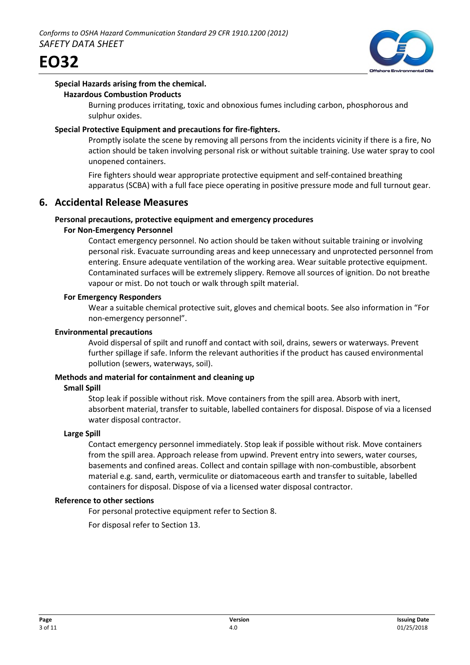



#### **Special Hazards arising from the chemical. Hazardous Combustion Products**

Burning produces irritating, toxic and obnoxious fumes including carbon, phosphorous and sulphur oxides.

# **Special Protective Equipment and precautions for fire-fighters.**

Promptly isolate the scene by removing all persons from the incidents vicinity if there is a fire, No action should be taken involving personal risk or without suitable training. Use water spray to cool unopened containers.

Fire fighters should wear appropriate protective equipment and self-contained breathing apparatus (SCBA) with a full face piece operating in positive pressure mode and full turnout gear.

# **6. Accidental Release Measures**

# **Personal precautions, protective equipment and emergency procedures**

# **For Non-Emergency Personnel**

Contact emergency personnel. No action should be taken without suitable training or involving personal risk. Evacuate surrounding areas and keep unnecessary and unprotected personnel from entering. Ensure adequate ventilation of the working area. Wear suitable protective equipment. Contaminated surfaces will be extremely slippery. Remove all sources of ignition. Do not breathe vapour or mist. Do not touch or walk through spilt material.

# **For Emergency Responders**

Wear a suitable chemical protective suit, gloves and chemical boots. See also information in "For non-emergency personnel".

# **Environmental precautions**

Avoid dispersal of spilt and runoff and contact with soil, drains, sewers or waterways. Prevent further spillage if safe. Inform the relevant authorities if the product has caused environmental pollution (sewers, waterways, soil).

# **Methods and material for containment and cleaning up**

# **Small Spill**

Stop leak if possible without risk. Move containers from the spill area. Absorb with inert, absorbent material, transfer to suitable, labelled containers for disposal. Dispose of via a licensed water disposal contractor.

# **Large Spill**

Contact emergency personnel immediately. Stop leak if possible without risk. Move containers from the spill area. Approach release from upwind. Prevent entry into sewers, water courses, basements and confined areas. Collect and contain spillage with non-combustible, absorbent material e.g. sand, earth, vermiculite or diatomaceous earth and transfer to suitable, labelled containers for disposal. Dispose of via a licensed water disposal contractor.

# **Reference to other sections**

For personal protective equipment refer to Section 8.

For disposal refer to Section 13.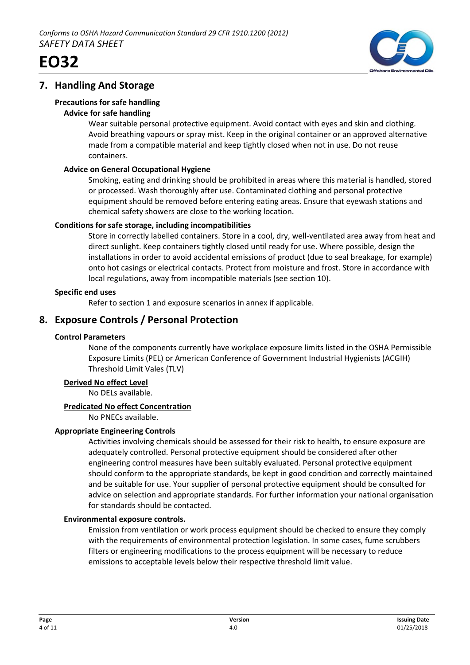



# **7. Handling And Storage**

# **Precautions for safe handling**

# **Advice for safe handling**

Wear suitable personal protective equipment. Avoid contact with eyes and skin and clothing. Avoid breathing vapours or spray mist. Keep in the original container or an approved alternative made from a compatible material and keep tightly closed when not in use. Do not reuse containers.

# **Advice on General Occupational Hygiene**

Smoking, eating and drinking should be prohibited in areas where this material is handled, stored or processed. Wash thoroughly after use. Contaminated clothing and personal protective equipment should be removed before entering eating areas. Ensure that eyewash stations and chemical safety showers are close to the working location.

# **Conditions for safe storage, including incompatibilities**

Store in correctly labelled containers. Store in a cool, dry, well-ventilated area away from heat and direct sunlight. Keep containers tightly closed until ready for use. Where possible, design the installations in order to avoid accidental emissions of product (due to seal breakage, for example) onto hot casings or electrical contacts. Protect from moisture and frost. Store in accordance with local regulations, away from incompatible materials (see section 10).

# **Specific end uses**

Refer to section 1 and exposure scenarios in annex if applicable.

# **8. Exposure Controls / Personal Protection**

# **Control Parameters**

None of the components currently have workplace exposure limits listed in the OSHA Permissible Exposure Limits (PEL) or American Conference of Government Industrial Hygienists (ACGIH) Threshold Limit Vales (TLV)

# **Derived No effect Level**

No DELs available.

# **Predicated No effect Concentration**

No PNECs available.

# **Appropriate Engineering Controls**

Activities involving chemicals should be assessed for their risk to health, to ensure exposure are adequately controlled. Personal protective equipment should be considered after other engineering control measures have been suitably evaluated. Personal protective equipment should conform to the appropriate standards, be kept in good condition and correctly maintained and be suitable for use. Your supplier of personal protective equipment should be consulted for advice on selection and appropriate standards. For further information your national organisation for standards should be contacted.

# **Environmental exposure controls.**

Emission from ventilation or work process equipment should be checked to ensure they comply with the requirements of environmental protection legislation. In some cases, fume scrubbers filters or engineering modifications to the process equipment will be necessary to reduce emissions to acceptable levels below their respective threshold limit value.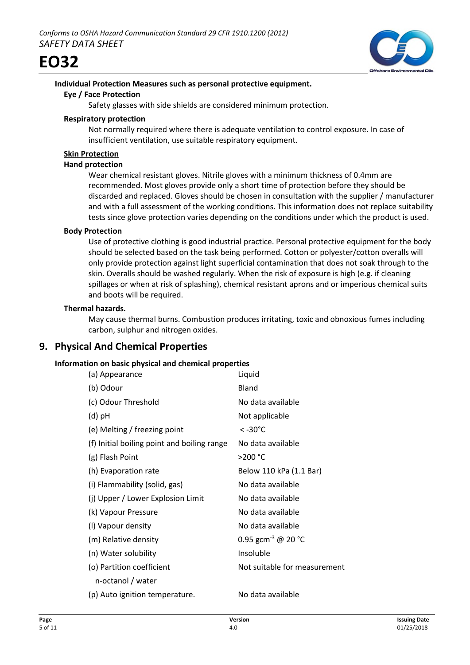



# **Individual Protection Measures such as personal protective equipment.**

#### **Eye / Face Protection**

Safety glasses with side shields are considered minimum protection.

#### **Respiratory protection**

Not normally required where there is adequate ventilation to control exposure. In case of insufficient ventilation, use suitable respiratory equipment.

# **Skin Protection**

#### **Hand protection**

Wear chemical resistant gloves. Nitrile gloves with a minimum thickness of 0.4mm are recommended. Most gloves provide only a short time of protection before they should be discarded and replaced. Gloves should be chosen in consultation with the supplier / manufacturer and with a full assessment of the working conditions. This information does not replace suitability tests since glove protection varies depending on the conditions under which the product is used.

#### **Body Protection**

Use of protective clothing is good industrial practice. Personal protective equipment for the body should be selected based on the task being performed. Cotton or polyester/cotton overalls will only provide protection against light superficial contamination that does not soak through to the skin. Overalls should be washed regularly. When the risk of exposure is high (e.g. if cleaning spillages or when at risk of splashing), chemical resistant aprons and or imperious chemical suits and boots will be required.

# **Thermal hazards.**

May cause thermal burns. Combustion produces irritating, toxic and obnoxious fumes including carbon, sulphur and nitrogen oxides.

# **9. Physical And Chemical Properties**

# **Information on basic physical and chemical properties**

| (a) Appearance                              | Liquid                         |
|---------------------------------------------|--------------------------------|
| (b) Odour                                   | <b>Bland</b>                   |
| (c) Odour Threshold                         | No data available              |
| $(d)$ pH                                    | Not applicable                 |
| (e) Melting / freezing point                | $< -30^{\circ}$ C              |
| (f) Initial boiling point and boiling range | No data available              |
| (g) Flash Point                             | >200 °C                        |
| (h) Evaporation rate                        | Below 110 kPa (1.1 Bar)        |
| (i) Flammability (solid, gas)               | No data available              |
| (j) Upper / Lower Explosion Limit           | No data available              |
| (k) Vapour Pressure                         | No data available              |
| (I) Vapour density                          | No data available              |
| (m) Relative density                        | 0.95 gcm <sup>-3</sup> @ 20 °C |
| (n) Water solubility                        | Insoluble                      |
| (o) Partition coefficient                   | Not suitable for measurement   |
| n-octanol / water                           |                                |
| (p) Auto ignition temperature.              | No data available              |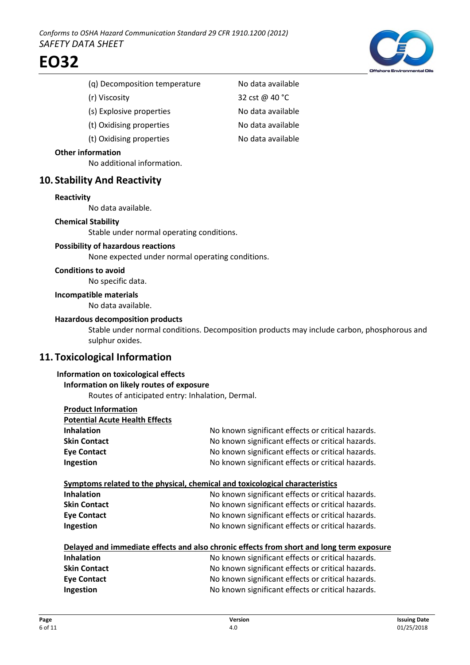- (g) Decomposition temperature No data available
- 
- (s) Explosive properties No data available
- (t) Oxidising properties No data available
- (t) Oxidising properties No data available

#### **Other information**

No additional information.

# **10. Stability And Reactivity**

#### **Reactivity**

No data available.

#### **Chemical Stability**

Stable under normal operating conditions.

# **Possibility of hazardous reactions**

None expected under normal operating conditions.

#### **Conditions to avoid**

No specific data.

**Incompatible materials**

No data available.

#### **Hazardous decomposition products**

Stable under normal conditions. Decomposition products may include carbon, phosphorous and sulphur oxides.

# **11. Toxicological Information**

#### **Information on toxicological effects**

**Information on likely routes of exposure** Routes of anticipated entry: Inhalation, Dermal.

| <b>Product Information</b>                                                               |                                                   |
|------------------------------------------------------------------------------------------|---------------------------------------------------|
| <b>Potential Acute Health Effects</b>                                                    |                                                   |
| <b>Inhalation</b>                                                                        | No known significant effects or critical hazards. |
| <b>Skin Contact</b>                                                                      | No known significant effects or critical hazards. |
| <b>Eye Contact</b>                                                                       | No known significant effects or critical hazards. |
| Ingestion                                                                                | No known significant effects or critical hazards. |
|                                                                                          |                                                   |
| Symptoms related to the physical, chemical and toxicological characteristics             |                                                   |
| <b>Inhalation</b>                                                                        | No known significant effects or critical hazards. |
| <b>Skin Contact</b>                                                                      | No known significant effects or critical hazards. |
| <b>Eye Contact</b>                                                                       | No known significant effects or critical hazards. |
| Ingestion                                                                                | No known significant effects or critical hazards. |
|                                                                                          |                                                   |
| Delayed and immediate effects and also chronic effects from short and long term exposure |                                                   |
| <b>Inhalation</b>                                                                        | No known significant effects or critical hazards. |
| <b>Skin Contact</b>                                                                      | No known significant effects or critical hazards. |
| <b>Eye Contact</b>                                                                       | No known significant effects or critical hazards. |
| Ingestion                                                                                | No known significant effects or critical hazards. |
|                                                                                          |                                                   |



(r) Viscosity 32 cst @ 40 °C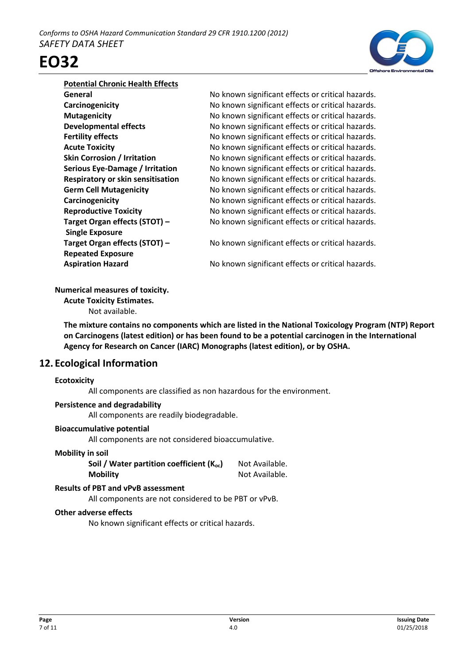

#### **Potential Chronic Health Effects**

**Single Exposure Repeated Exposure**

**General General No known significant effects or critical hazards. Carcinogenicity No known significant effects or critical hazards. Mutagenicity** Mutagenicity Mutagenicity No known significant effects or critical hazards. **Developmental effects** No known significant effects or critical hazards. **Fertility effects** The Superson No known significant effects or critical hazards. **Acute Toxicity No known significant effects or critical hazards. Skin Corrosion / Irritation** No known significant effects or critical hazards. **Serious Eye-Damage / Irritation** No known significant effects or critical hazards. **Respiratory or skin sensitisation** No known significant effects or critical hazards. **Germ Cell Mutagenicity** No known significant effects or critical hazards. **Carcinogenicity No known significant effects or critical hazards. Reproductive Toxicity** No known significant effects or critical hazards. **Target Organ effects (STOT) – No known significant effects or critical hazards.** 

**Target Organ effects (STOT) – No known significant effects or critical hazards.** 

**Aspiration Hazard** No known significant effects or critical hazards.

#### **Numerical measures of toxicity.**

**Acute Toxicity Estimates.**

Not available.

**The mixture contains no components which are listed in the National Toxicology Program (NTP) Report on Carcinogens (latest edition) or has been found to be a potential carcinogen in the International Agency for Research on Cancer (IARC) Monographs (latest edition), or by OSHA.**

# **12. Ecological Information**

#### **Ecotoxicity**

All components are classified as non hazardous for the environment.

# **Persistence and degradability**

All components are readily biodegradable.

# **Bioaccumulative potential**

All components are not considered bioaccumulative.

# **Mobility in soil**

**Soil / Water partition coefficient (K<sub>oc</sub>)** Not Available. **Mobility** Not Available.

# **Results of PBT and vPvB assessment**

All components are not considered to be PBT or vPvB.

# **Other adverse effects**

No known significant effects or critical hazards.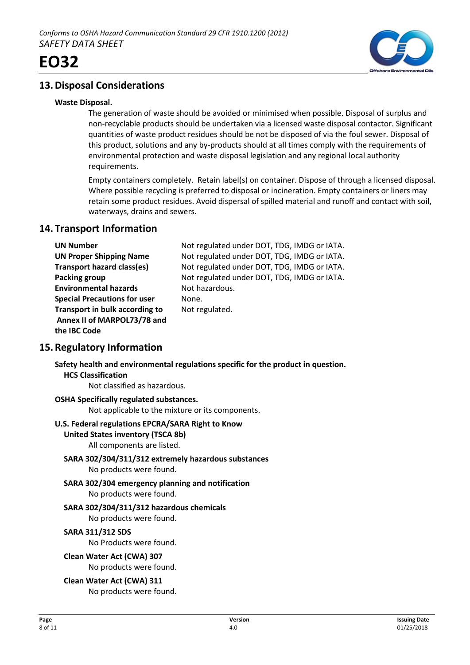



# **13.Disposal Considerations**

#### **Waste Disposal.**

The generation of waste should be avoided or minimised when possible. Disposal of surplus and non-recyclable products should be undertaken via a licensed waste disposal contactor. Significant quantities of waste product residues should be not be disposed of via the foul sewer. Disposal of this product, solutions and any by-products should at all times comply with the requirements of environmental protection and waste disposal legislation and any regional local authority requirements.

Empty containers completely. Retain label(s) on container. Dispose of through a licensed disposal. Where possible recycling is preferred to disposal or incineration. Empty containers or liners may retain some product residues. Avoid dispersal of spilled material and runoff and contact with soil, waterways, drains and sewers.

# **14. Transport Information**

| <b>UN Number</b>                    | Not regulated under DOT, TDG, IMDG or IATA. |
|-------------------------------------|---------------------------------------------|
| <b>UN Proper Shipping Name</b>      | Not regulated under DOT, TDG, IMDG or IATA. |
| <b>Transport hazard class(es)</b>   | Not regulated under DOT, TDG, IMDG or IATA. |
| Packing group                       | Not regulated under DOT, TDG, IMDG or IATA. |
| <b>Environmental hazards</b>        | Not hazardous.                              |
| <b>Special Precautions for user</b> | None.                                       |
| Transport in bulk according to      | Not regulated.                              |
| Annex II of MARPOL73/78 and         |                                             |
| the IBC Code                        |                                             |

# **15.Regulatory Information**

**Safety health and environmental regulations specific for the product in question. HCS Classification**

Not classified as hazardous.

# **OSHA Specifically regulated substances.**

Not applicable to the mixture or its components.

#### **U.S. Federal regulations EPCRA/SARA Right to Know**

**United States inventory (TSCA 8b)**

All components are listed.

- **SARA 302/304/311/312 extremely hazardous substances** No products were found.
- **SARA 302/304 emergency planning and notification** No products were found.
- **SARA 302/304/311/312 hazardous chemicals**

No products were found.

# **SARA 311/312 SDS**

No Products were found.

**Clean Water Act (CWA) 307**

No products were found.

# **Clean Water Act (CWA) 311**

No products were found.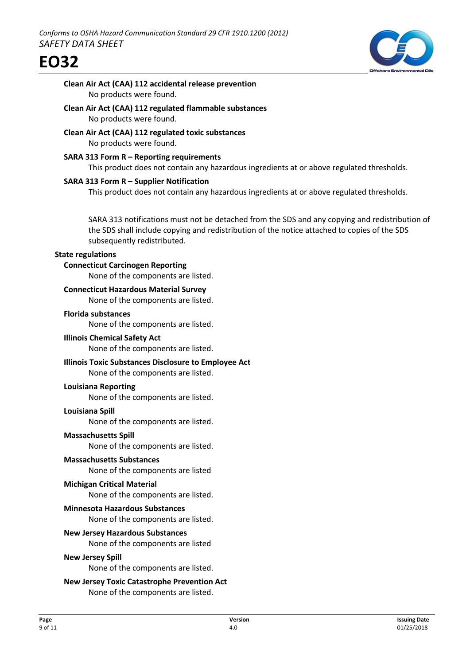

# **Clean Air Act (CAA) 112 accidental release prevention** No products were found.

- **Clean Air Act (CAA) 112 regulated flammable substances** No products were found.
- **Clean Air Act (CAA) 112 regulated toxic substances** No products were found.
- **SARA 313 Form R Reporting requirements** This product does not contain any hazardous ingredients at or above regulated thresholds.

# **SARA 313 Form R – Supplier Notification**

This product does not contain any hazardous ingredients at or above regulated thresholds.

SARA 313 notifications must not be detached from the SDS and any copying and redistribution of the SDS shall include copying and redistribution of the notice attached to copies of the SDS subsequently redistributed.

### **State regulations**

#### **Connecticut Carcinogen Reporting**

None of the components are listed.

### **Connecticut Hazardous Material Survey**

None of the components are listed.

#### **Florida substances**

None of the components are listed.

#### **Illinois Chemical Safety Act**

None of the components are listed.

# **Illinois Toxic Substances Disclosure to Employee Act**

None of the components are listed.

#### **Louisiana Reporting**

None of the components are listed.

#### **Louisiana Spill**

None of the components are listed.

#### **Massachusetts Spill**

None of the components are listed.

#### **Massachusetts Substances**

None of the components are listed

#### **Michigan Critical Material**

None of the components are listed.

#### **Minnesota Hazardous Substances**

None of the components are listed.

#### **New Jersey Hazardous Substances**

None of the components are listed

#### **New Jersey Spill**

None of the components are listed.

# **New Jersey Toxic Catastrophe Prevention Act**

None of the components are listed.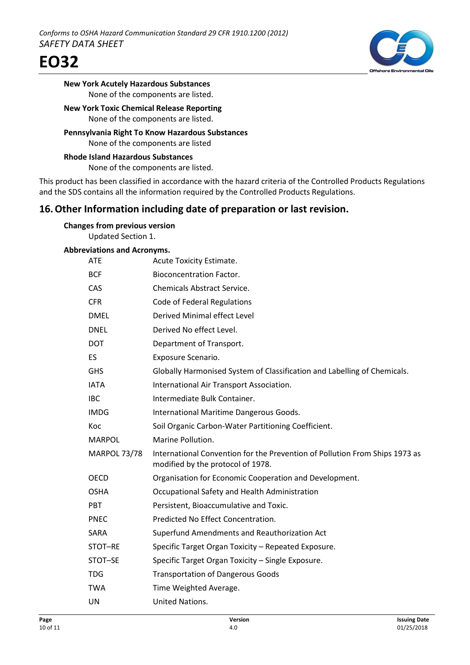



### **New York Acutely Hazardous Substances** None of the components are listed.

### **New York Toxic Chemical Release Reporting** None of the components are listed.

**Pennsylvania Right To Know Hazardous Substances** None of the components are listed

# **Rhode Island Hazardous Substances** None of the components are listed.

This product has been classified in accordance with the hazard criteria of the Controlled Products Regulations and the SDS contains all the information required by the Controlled Products Regulations.

# **16.Other Information including date of preparation or last revision.**

| <b>Changes from previous version</b> |  |
|--------------------------------------|--|
| <b>Updated Section 1.</b>            |  |

#### **Abbreviations and Acronyms.**

| <b>ATE</b>          | Acute Toxicity Estimate.                                                                                         |
|---------------------|------------------------------------------------------------------------------------------------------------------|
| <b>BCF</b>          | <b>Bioconcentration Factor.</b>                                                                                  |
| CAS                 | <b>Chemicals Abstract Service.</b>                                                                               |
| <b>CFR</b>          | Code of Federal Regulations                                                                                      |
| <b>DMEL</b>         | Derived Minimal effect Level                                                                                     |
| <b>DNEL</b>         | Derived No effect Level.                                                                                         |
| <b>DOT</b>          | Department of Transport.                                                                                         |
| ES                  | Exposure Scenario.                                                                                               |
| <b>GHS</b>          | Globally Harmonised System of Classification and Labelling of Chemicals.                                         |
| <b>IATA</b>         | International Air Transport Association.                                                                         |
| <b>IBC</b>          | Intermediate Bulk Container.                                                                                     |
| <b>IMDG</b>         | International Maritime Dangerous Goods.                                                                          |
| Koc                 | Soil Organic Carbon-Water Partitioning Coefficient.                                                              |
|                     |                                                                                                                  |
| <b>MARPOL</b>       | Marine Pollution.                                                                                                |
| <b>MARPOL 73/78</b> | International Convention for the Prevention of Pollution From Ships 1973 as<br>modified by the protocol of 1978. |
| <b>OECD</b>         | Organisation for Economic Cooperation and Development.                                                           |
| <b>OSHA</b>         | Occupational Safety and Health Administration                                                                    |
| PBT                 | Persistent, Bioaccumulative and Toxic.                                                                           |
| <b>PNEC</b>         | Predicted No Effect Concentration.                                                                               |
| SARA                | Superfund Amendments and Reauthorization Act                                                                     |
| STOT-RE             | Specific Target Organ Toxicity - Repeated Exposure.                                                              |
| STOT-SE             | Specific Target Organ Toxicity - Single Exposure.                                                                |
| <b>TDG</b>          | <b>Transportation of Dangerous Goods</b>                                                                         |
| <b>TWA</b>          | Time Weighted Average.                                                                                           |
| <b>UN</b>           | United Nations.                                                                                                  |